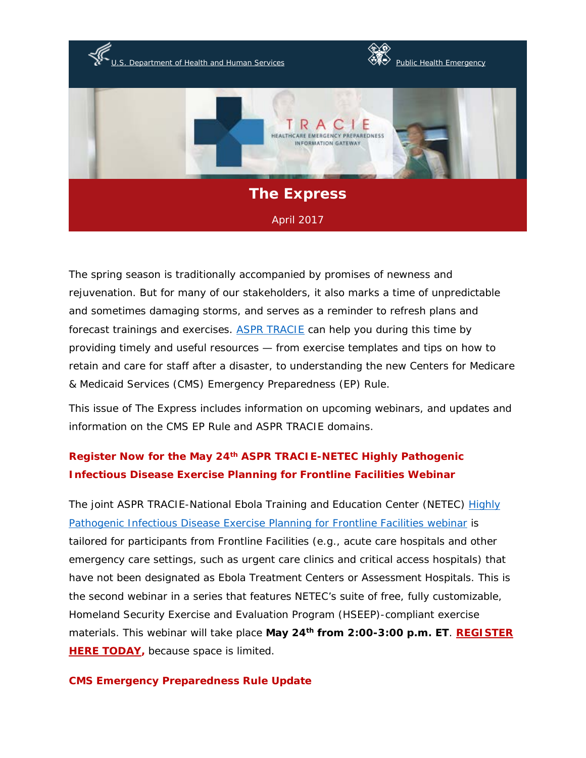

The spring season is traditionally accompanied by promises of newness and rejuvenation. But for many of our stakeholders, it also marks a time of unpredictable and sometimes damaging storms, and serves as a reminder to refresh plans and forecast trainings and exercises. [ASPR TRACIE](https://asprtracie.hhs.gov/) can help you during this time by providing timely and useful resources — from exercise templates and tips on how to retain and care for staff after a disaster, to understanding the new Centers for Medicare & Medicaid Services (CMS) Emergency Preparedness (EP) Rule.

This issue of The Express includes information on upcoming webinars, and updates and information on the CMS EP Rule and ASPR TRACIE domains.

## **Register Now for the May 24th ASPR TRACIE-NETEC Highly Pathogenic Infectious Disease Exercise Planning for Frontline Facilities Webinar**

The joint ASPR TRACIE-National Ebola Training and Education Center (NETEC) Highly Pathogenic Infectious [Disease Exercise Planning for Frontline Facilities webinar](https://asprtracie.hhs.gov/documents/tracie-netec-frontline-facility-exercise-webinar-flyer-508.pdf) is tailored for participants from Frontline Facilities (e.g., acute care hospitals and other emergency care settings, such as urgent care clinics and critical access hospitals) that have *not* been designated as Ebola Treatment Centers or Assessment Hospitals. This is the second webinar in a series that features NETEC's suite of free, fully customizable, Homeland Security Exercise and Evaluation Program (HSEEP)-compliant exercise materials. This webinar will take place **May 24th from 2:00-3:00 p.m. ET**. **[REGISTER](https://attendee.gotowebinar.com/register/8376672599144066562)  HERE [TODAY,](https://attendee.gotowebinar.com/register/8376672599144066562)** because space is limited.

## **CMS Emergency Preparedness Rule Update**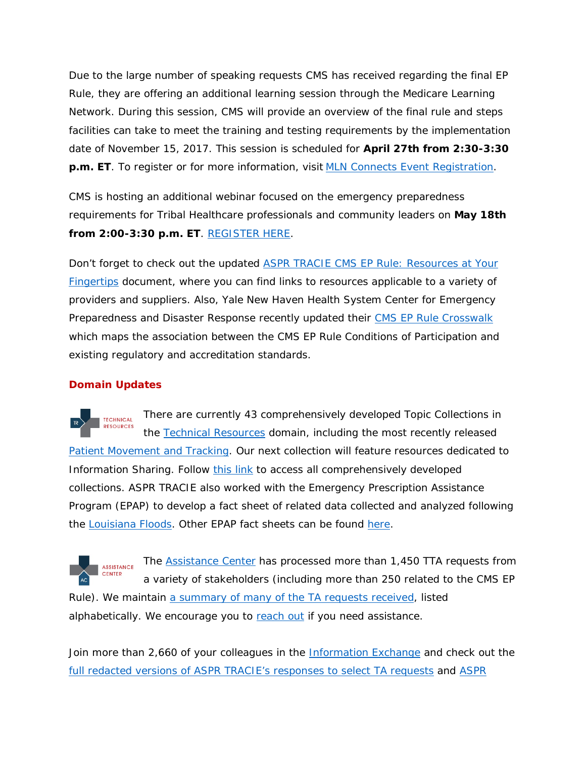Due to the large number of speaking requests CMS has received regarding the final EP Rule, they are offering an additional learning session through the Medicare Learning Network. During this session, CMS will provide an overview of the final rule and steps facilities can take to meet the training and testing requirements by the implementation date of November 15, 2017. This session is scheduled for **April 27th from 2:30-3:30 p.m. ET**. To register or for more information, visit [MLN Connects Event Registration.](https://blh.ier.intercall.com/)

CMS is hosting an additional webinar focused on the emergency preparedness requirements for Tribal Healthcare professionals and community leaders on **May 18th from 2:00-3:30 p.m. ET**. [REGISTER HERE.](https://attendee.gotowebinar.com/register/8844731400352651011)

Don't forget to check out the updated ASPR TRACIE CMS EP Rule: Resources at Your [Fingertips](https://asprtracie.hhs.gov/documents/cms-ep-rule-resources-at-your-fingertips.pdf) document, where you can find links to resources applicable to a variety of providers and suppliers. Also, Yale New Haven Health System Center for Emergency Preparedness and Disaster Response recently updated their [CMS EP Rule Crosswalk](https://www.ynhhs.org/emergency/insights/library.aspx) which maps the association between the CMS EP Rule Conditions of Participation and existing regulatory and accreditation standards.

## **Domain Updates**

There are currently 43 comprehensively developed Topic Collections in **TECHNICAL RESOURCES** the [Technical Resources](https://asprtracie.hhs.gov/technical-resources) domain, including the most recently released [Patient Movement and Tracking.](https://asprtracie.hhs.gov/technical-resources/70/patient-movement-and-trackingforward-movement-of-patients-tracking-and-tracking-systems/60) Our next collection will feature resources dedicated to Information Sharing. Follow [this link](https://asprtracie.hhs.gov/technical-resources/topic-collection) to access all comprehensively developed collections. ASPR TRACIE also worked with the Emergency Prescription Assistance Program (EPAP) to develop a fact sheet of related data collected and analyzed following the [Louisiana Floods.](https://asprtracie.hhs.gov/documents/epap-louisiana-floods-factsheet.pdf) Other EPAP fact sheets can be found [here.](https://asprtracie.hhs.gov/technical-resources/MasterSearch?qt=Emergency+Prescription+Assistance+Program+(EPAP)&limit=20&page=0&CurTab=0)

The [Assistance Center](https://asprtracie.hhs.gov/assistance-center) has processed more than 1,450 TTA requests from **ASSISTANCE** a variety of stakeholders (including more than 250 related to the CMS EP Rule). We maintain [a summary of many of the TA requests received,](https://asprtracie.hhs.gov/Documents/ASPR-TRACIE-TTA-Requests.pdf) listed alphabetically. We encourage you to [reach out](https://asprtracie.hhs.gov/assistance-center) if you need assistance.

Join more than 2,660 of your colleagues in the [Information Exchange](https://asprtracie.hhs.gov/information-exchange) and check out the [full redacted versions of ASPR TRACIE's responses to select TA requests](https://asprtracie.hhs.gov/information-exchange/db/categories/93/ASPR-TRACIE-Selected-Technical-Assistance-Response) and [ASPR](https://asprtracie.hhs.gov/information-exchange/db/categories/101/ASPR-TRACIE-Webinars)